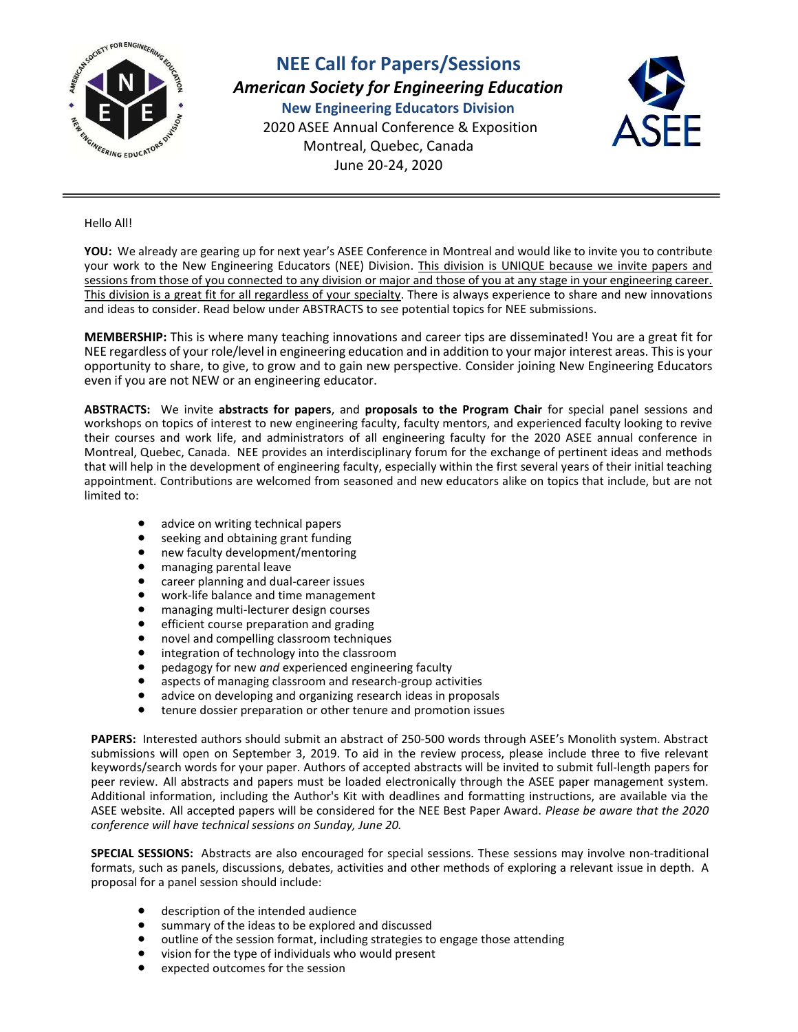

NEE Call for Papers/Sessions American Society for Engineering Education New Engineering Educators Division 2020 ASEE Annual Conference & Exposition Montreal, Quebec, Canada June 20-24, 2020



Hello All!

YOU: We already are gearing up for next year's ASEE Conference in Montreal and would like to invite you to contribute your work to the New Engineering Educators (NEE) Division. This division is UNIQUE because we invite papers and sessions from those of you connected to any division or major and those of you at any stage in your engineering career. This division is a great fit for all regardless of your specialty. There is always experience to share and new innovations and ideas to consider. Read below under ABSTRACTS to see potential topics for NEE submissions.

MEMBERSHIP: This is where many teaching innovations and career tips are disseminated! You are a great fit for NEE regardless of your role/level in engineering education and in addition to your major interest areas. This is your opportunity to share, to give, to grow and to gain new perspective. Consider joining New Engineering Educators even if you are not NEW or an engineering educator.

ABSTRACTS: We invite abstracts for papers, and proposals to the Program Chair for special panel sessions and workshops on topics of interest to new engineering faculty, faculty mentors, and experienced faculty looking to revive their courses and work life, and administrators of all engineering faculty for the 2020 ASEE annual conference in Montreal, Quebec, Canada. NEE provides an interdisciplinary forum for the exchange of pertinent ideas and methods that will help in the development of engineering faculty, especially within the first several years of their initial teaching appointment. Contributions are welcomed from seasoned and new educators alike on topics that include, but are not limited to:

- advice on writing technical papers
- seeking and obtaining grant funding
- new faculty development/mentoring
- managing parental leave
- **•** career planning and dual-career issues
- work-life balance and time management
- managing multi-lecturer design courses
- **•** efficient course preparation and grading
- novel and compelling classroom techniques
- **•** integration of technology into the classroom
- pedagogy for new and experienced engineering faculty
- aspects of managing classroom and research-group activities
- advice on developing and organizing research ideas in proposals
- tenure dossier preparation or other tenure and promotion issues

PAPERS: Interested authors should submit an abstract of 250-500 words through ASEE's Monolith system. Abstract submissions will open on September 3, 2019. To aid in the review process, please include three to five relevant keywords/search words for your paper. Authors of accepted abstracts will be invited to submit full-length papers for peer review. All abstracts and papers must be loaded electronically through the ASEE paper management system. Additional information, including the Author's Kit with deadlines and formatting instructions, are available via the ASEE website. All accepted papers will be considered for the NEE Best Paper Award. Please be aware that the 2020 conference will have technical sessions on Sunday, June 20.

SPECIAL SESSIONS: Abstracts are also encouraged for special sessions. These sessions may involve non-traditional formats, such as panels, discussions, debates, activities and other methods of exploring a relevant issue in depth. A proposal for a panel session should include:

- description of the intended audience
- summary of the ideas to be explored and discussed
- outline of the session format, including strategies to engage those attending
- vision for the type of individuals who would present
- expected outcomes for the session